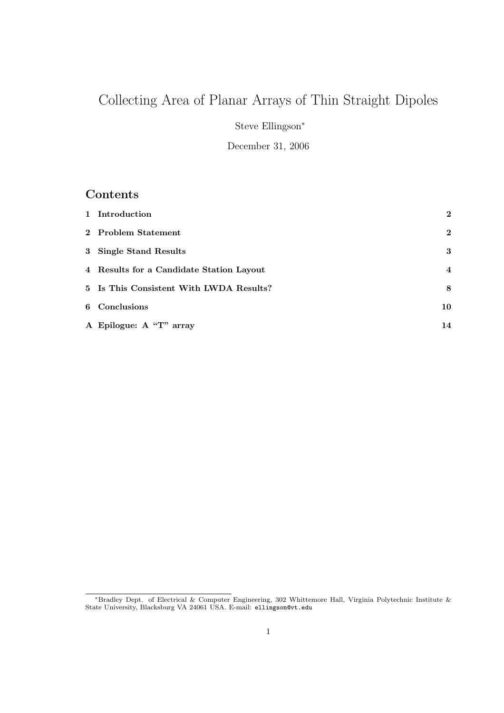# Collecting Area of Planar Arrays of Thin Straight Dipoles

Steve Ellingson<sup>∗</sup>

December 31, 2006

# Contents

| 1 Introduction                           | $\overline{2}$          |
|------------------------------------------|-------------------------|
| 2 Problem Statement                      | $\mathbf{2}$            |
| 3 Single Stand Results                   | 3                       |
| 4 Results for a Candidate Station Layout | $\overline{\mathbf{4}}$ |
| 5 Is This Consistent With LWDA Results?  | 8                       |
| 6 Conclusions                            | 10                      |
| A Epilogue: A "T" array                  | 14                      |

<sup>∗</sup>Bradley Dept. of Electrical & Computer Engineering, 302 Whittemore Hall, Virginia Polytechnic Institute & State University, Blacksburg VA 24061 USA. E-mail: ellingson@vt.edu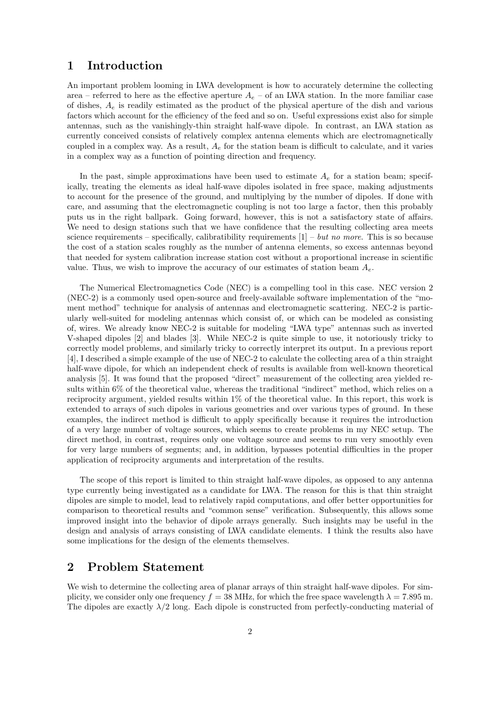### 1 Introduction

An important problem looming in LWA development is how to accurately determine the collecting area – referred to here as the effective aperture  $A_e$  – of an LWA station. In the more familiar case of dishes,  $A_e$  is readily estimated as the product of the physical aperture of the dish and various factors which account for the efficiency of the feed and so on. Useful expressions exist also for simple antennas, such as the vanishingly-thin straight half-wave dipole. In contrast, an LWA station as currently conceived consists of relatively complex antenna elements which are electromagnetically coupled in a complex way. As a result,  $A<sub>e</sub>$  for the station beam is difficult to calculate, and it varies in a complex way as a function of pointing direction and frequency.

In the past, simple approximations have been used to estimate  $A_e$  for a station beam; specifically, treating the elements as ideal half-wave dipoles isolated in free space, making adjustments to account for the presence of the ground, and multiplying by the number of dipoles. If done with care, and assuming that the electromagnetic coupling is not too large a factor, then this probably puts us in the right ballpark. Going forward, however, this is not a satisfactory state of affairs. We need to design stations such that we have confidence that the resulting collecting area meets science requirements – specifically, calibratibility requirements  $[1]$  – but no more. This is so because the cost of a station scales roughly as the number of antenna elements, so excess antennas beyond that needed for system calibration increase station cost without a proportional increase in scientific value. Thus, we wish to improve the accuracy of our estimates of station beam  $A_e$ .

The Numerical Electromagnetics Code (NEC) is a compelling tool in this case. NEC version 2 (NEC-2) is a commonly used open-source and freely-available software implementation of the "moment method" technique for analysis of antennas and electromagnetic scattering. NEC-2 is particularly well-suited for modeling antennas which consist of, or which can be modeled as consisting of, wires. We already know NEC-2 is suitable for modeling "LWA type" antennas such as inverted V-shaped dipoles [2] and blades [3]. While NEC-2 is quite simple to use, it notoriously tricky to correctly model problems, and similarly tricky to correctly interpret its output. In a previous report [4], I described a simple example of the use of NEC-2 to calculate the collecting area of a thin straight half-wave dipole, for which an independent check of results is available from well-known theoretical analysis [5]. It was found that the proposed "direct" measurement of the collecting area yielded results within 6% of the theoretical value, whereas the traditional "indirect" method, which relies on a reciprocity argument, yielded results within 1% of the theoretical value. In this report, this work is extended to arrays of such dipoles in various geometries and over various types of ground. In these examples, the indirect method is difficult to apply specifically because it requires the introduction of a very large number of voltage sources, which seems to create problems in my NEC setup. The direct method, in contrast, requires only one voltage source and seems to run very smoothly even for very large numbers of segments; and, in addition, bypasses potential difficulties in the proper application of reciprocity arguments and interpretation of the results.

The scope of this report is limited to thin straight half-wave dipoles, as opposed to any antenna type currently being investigated as a candidate for LWA. The reason for this is that thin straight dipoles are simple to model, lead to relatively rapid computations, and offer better opportunities for comparison to theoretical results and "common sense" verification. Subsequently, this allows some improved insight into the behavior of dipole arrays generally. Such insights may be useful in the design and analysis of arrays consisting of LWA candidate elements. I think the results also have some implications for the design of the elements themselves.

### 2 Problem Statement

We wish to determine the collecting area of planar arrays of thin straight half-wave dipoles. For simplicity, we consider only one frequency  $f = 38$  MHz, for which the free space wavelength  $\lambda = 7.895$  m. The dipoles are exactly  $\lambda/2$  long. Each dipole is constructed from perfectly-conducting material of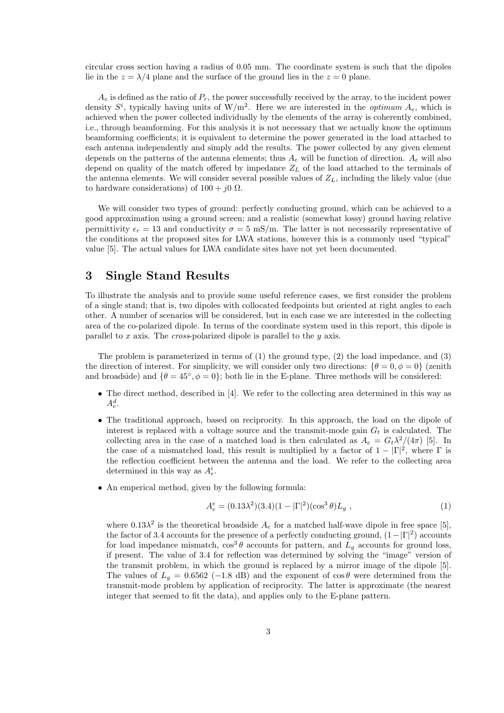circular cross section having a radius of 0.05 mm. The coordinate system is such that the dipoles lie in the  $z = \lambda/4$  plane and the surface of the ground lies in the  $z = 0$  plane.

 $A<sub>e</sub>$  is defined as the ratio of  $P<sub>r</sub>$ , the power successfully received by the array, to the incident power density  $S^i$ , typically having units of W/m<sup>2</sup>. Here we are interested in the *optimum*  $A_e$ , which is achieved when the power collected individually by the elements of the array is coherently combined, i.e., through beamforming. For this analysis it is not necessary that we actually know the optimum beamforming coefficients; it is equivalent to determine the power generated in the load attached to each antenna independently and simply add the results. The power collected by any given element depends on the patterns of the antenna elements; thus  $A_e$  will be function of direction.  $A_e$  will also depend on quality of the match offered by impedance  $Z_L$  of the load attached to the terminals of the antenna elements. We will consider several possible values of  $Z_L$ , including the likely value (due to hardware considerations) of  $100 + j0 \Omega$ .

We will consider two types of ground: perfectly conducting ground, which can be achieved to a good approximation using a ground screen; and a realistic (somewhat lossy) ground having relative permittivity  $\epsilon_r = 13$  and conductivity  $\sigma = 5$  mS/m. The latter is not necessarily representative of the conditions at the proposed sites for LWA stations, however this is a commonly used "typical" value [5]. The actual values for LWA candidate sites have not yet been documented.

# 3 Single Stand Results

To illustrate the analysis and to provide some useful reference cases, we first consider the problem of a single stand; that is, two dipoles with collocated feedpoints but oriented at right angles to each other. A number of scenarios will be considered, but in each case we are interested in the collecting area of the co-polarized dipole. In terms of the coordinate system used in this report, this dipole is parallel to x axis. The *cross*-polarized dipole is parallel to the  $y$  axis.

The problem is parameterized in terms of  $(1)$  the ground type,  $(2)$  the load impedance, and  $(3)$ the direction of interest. For simplicity, we will consider only two directions:  $\{\theta = 0, \phi = 0\}$  (zenith and broadside) and  $\{\theta = 45^{\circ}, \phi = 0\}$ ; both lie in the E-plane. Three methods will be considered:

- The direct method, described in [4]. We refer to the collecting area determined in this way as  $A_e^d$ .
- The traditional approach, based on reciprocity. In this approach, the load on the dipole of interest is replaced with a voltage source and the transmit-mode gain  $G_t$  is calculated. The collecting area in the case of a matched load is then calculated as  $A_e = G_t \lambda^2/(4\pi)$  [5]. In the case of a mismatched load, this result is multiplied by a factor of  $1 - |\Gamma|^2$ , where  $\Gamma$  is the reflection coefficient between the antenna and the load. We refer to the collecting area determined in this way as  $A_e^i$ .
- An emperical method, given by the following formula:

$$
A_e^e = (0.13\lambda^2)(3.4)(1 - |\Gamma|^2)(\cos^3\theta)L_g ,
$$
 (1)

where  $0.13\lambda^2$  is the theoretical broadside  $A_e$  for a matched half-wave dipole in free space [5], the factor of 3.4 accounts for the presence of a perfectly conducting ground,  $(1-|\Gamma|^2)$  accounts for load impedance mismatch,  $\cos^3 \theta$  accounts for pattern, and  $L_g$  accounts for ground loss, if present. The value of 3.4 for reflection was determined by solving the "image" version of the transmit problem, in which the ground is replaced by a mirror image of the dipole [5]. The values of  $L_q = 0.6562$  (−1.8 dB) and the exponent of  $\cos \theta$  were determined from the transmit-mode problem by application of reciprocity. The latter is approximate (the nearest integer that seemed to fit the data), and applies only to the E-plane pattern.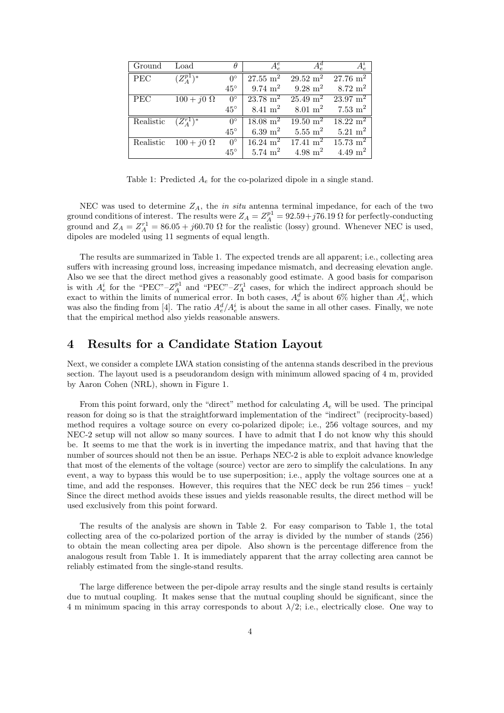| Ground                            | Load                          | $\theta$               | $A^e_{\rho}$        | $A^d_e$                                                     | $A_e^i$                                 |
|-----------------------------------|-------------------------------|------------------------|---------------------|-------------------------------------------------------------|-----------------------------------------|
| PEC                               | $(Z^{p1}_4)^*$                | $0^{\circ}$            |                     | $27.55 \text{ m}^2$ 29.52 m <sup>2</sup>                    | $27.76 \text{ m}^2$                     |
|                                   |                               | $45^{\circ}$           | $9.74~{\rm m}^2$    | 9.28 m <sup>2</sup> 8.72 m <sup>2</sup>                     |                                         |
| PEC                               | $100 + j0\ \overline{\Omega}$ | $0^{\circ}$            |                     | $23.78 \text{ m}^2$ $25.49 \text{ m}^2$ $23.97 \text{ m}^2$ |                                         |
|                                   |                               | $45^{\circ}$           | $8.41 \;{\rm m}^2$  | $8.01~{\rm m}^2$                                            | $7.53 \text{ m}^2$                      |
| Realistic $\boxed{(Z_4^{r_1})^*}$ |                               | $\overline{0^{\circ}}$ | $18.08 \text{ m}^2$ |                                                             | $19.50 \text{ m}^2$ $18.22 \text{ m}^2$ |
|                                   |                               | $45^{\circ}$           | $6.39~{\rm m}^2$    |                                                             | $5.55 \text{ m}^2$ $5.21 \text{ m}^2$   |
| Realistic                         | $100 + j0 \Omega$             | $\overline{0}^{\circ}$ | $16.24 \text{ m}^2$ | $\frac{17.41 \text{ m}^2}{ }$                               | $15.73 \text{ m}^2$                     |
|                                   |                               | $45^{\circ}$           | 5.74~m <sup>2</sup> | $4.98 \;{\rm m^2}$                                          | $4.49 \text{ m}^2$                      |

Table 1: Predicted  $A_e$  for the co-polarized dipole in a single stand.

NEC was used to determine  $Z_A$ , the *in situ* antenna terminal impedance, for each of the two ground conditions of interest. The results were  $Z_A = Z_A^{p1} = 92.59 + j76.19 \Omega$  for perfectly-conducting ground and  $Z_A = Z_A^{r1} = 86.05 + j60.70 \Omega$  for the realistic (lossy) ground. Whenever NEC is used, dipoles are modeled using 11 segments of equal length.

The results are summarized in Table 1. The expected trends are all apparent; i.e., collecting area suffers with increasing ground loss, increasing impedance mismatch, and decreasing elevation angle. Also we see that the direct method gives a reasonably good estimate. A good basis for comparison is with  $A_e^i$  for the "PEC"– $Z_A^{p1}$  and "PEC"– $Z_A^{r1}$  cases, for which the indirect approach should be exact to within the limits of numerical error. In both cases,  $A_e^d$  is about 6% higher than  $A_e^i$ , which was also the finding from [4]. The ratio  $A_e^d/A_e^i$  is about the same in all other cases. Finally, we note that the empirical method also yields reasonable answers.

#### 4 Results for a Candidate Station Layout

Next, we consider a complete LWA station consisting of the antenna stands described in the previous section. The layout used is a pseudorandom design with minimum allowed spacing of 4 m, provided by Aaron Cohen (NRL), shown in Figure 1.

From this point forward, only the "direct" method for calculating  $A_e$  will be used. The principal reason for doing so is that the straightforward implementation of the "indirect" (reciprocity-based) method requires a voltage source on every co-polarized dipole; i.e., 256 voltage sources, and my NEC-2 setup will not allow so many sources. I have to admit that I do not know why this should be. It seems to me that the work is in inverting the impedance matrix, and that having that the number of sources should not then be an issue. Perhaps NEC-2 is able to exploit advance knowledge that most of the elements of the voltage (source) vector are zero to simplify the calculations. In any event, a way to bypass this would be to use superposition; i.e., apply the voltage sources one at a time, and add the responses. However, this requires that the NEC deck be run 256 times – yuck! Since the direct method avoids these issues and yields reasonable results, the direct method will be used exclusively from this point forward.

The results of the analysis are shown in Table 2. For easy comparison to Table 1, the total collecting area of the co-polarized portion of the array is divided by the number of stands (256) to obtain the mean collecting area per dipole. Also shown is the percentage difference from the analogous result from Table 1. It is immediately apparent that the array collecting area cannot be reliably estimated from the single-stand results.

The large difference between the per-dipole array results and the single stand results is certainly due to mutual coupling. It makes sense that the mutual coupling should be significant, since the 4 m minimum spacing in this array corresponds to about  $\lambda/2$ ; i.e., electrically close. One way to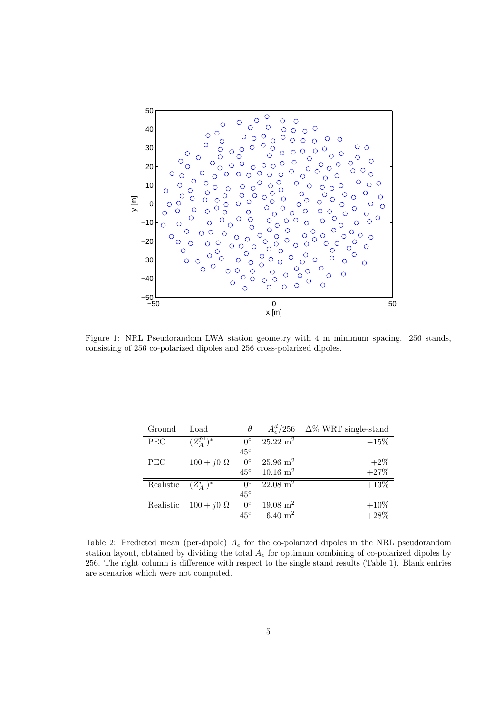

Figure 1: NRL Pseudorandom LWA station geometry with 4 m minimum spacing. 256 stands, consisting of 256 co-polarized dipoles and 256 cross-polarized dipoles.

| Ground    | Load                        | $\theta$     | $A_{e}^{d}/256$         | $\Delta\%$ WRT single-stand |
|-----------|-----------------------------|--------------|-------------------------|-----------------------------|
| PEC       | $(Z^{p1}_{\substack{A}})^*$ | $0^{\circ}$  | $25.22 \; \mathrm{m}^2$ | $-15\%$                     |
|           |                             | $45^{\circ}$ |                         |                             |
| PEC       | $100 + j0 \Omega$           | $0^{\circ}$  | $25.96 \text{ m}^2$     | $+2\%$                      |
|           |                             | $45^{\circ}$ | $10.16 \text{ m}^2$     | $+27%$                      |
| Realistic | $(Z^{r1}_4)^*$              | $0^{\circ}$  | $22.08 \; \mathrm{m}^2$ | $+13\%$                     |
|           |                             | $45^{\circ}$ |                         |                             |
| Realistic | $100 + j0 \Omega$           | $0^{\circ}$  | $19.08 \; \mathrm{m}^2$ | $+10\%$                     |
|           |                             | $45^{\circ}$ | $6.40 \;{\rm m}^2$      | $+28%$                      |

Table 2: Predicted mean (per-dipole)  $A_e$  for the co-polarized dipoles in the NRL pseudorandom station layout, obtained by dividing the total  $A<sub>e</sub>$  for optimum combining of co-polarized dipoles by 256. The right column is difference with respect to the single stand results (Table 1). Blank entries are scenarios which were not computed.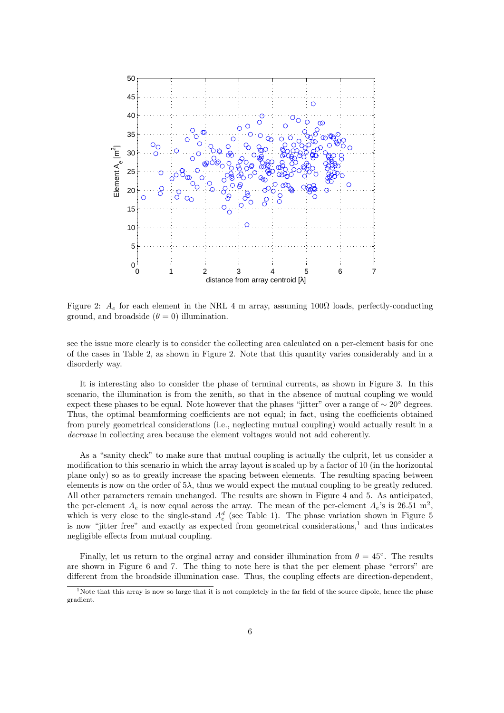

Figure 2:  $A_e$  for each element in the NRL 4 m array, assuming 100 $\Omega$  loads, perfectly-conducting ground, and broadside  $(\theta = 0)$  illumination.

see the issue more clearly is to consider the collecting area calculated on a per-element basis for one of the cases in Table 2, as shown in Figure 2. Note that this quantity varies considerably and in a disorderly way.

It is interesting also to consider the phase of terminal currents, as shown in Figure 3. In this scenario, the illumination is from the zenith, so that in the absence of mutual coupling we would expect these phases to be equal. Note however that the phases "jitter" over a range of  $\sim 20^{\circ}$  degrees. Thus, the optimal beamforming coefficients are not equal; in fact, using the coefficients obtained from purely geometrical considerations (i.e., neglecting mutual coupling) would actually result in a decrease in collecting area because the element voltages would not add coherently.

As a "sanity check" to make sure that mutual coupling is actually the culprit, let us consider a modification to this scenario in which the array layout is scaled up by a factor of 10 (in the horizontal plane only) so as to greatly increase the spacing between elements. The resulting spacing between elements is now on the order of  $5\lambda$ , thus we would expect the mutual coupling to be greatly reduced. All other parameters remain unchanged. The results are shown in Figure 4 and 5. As anticipated, the per-element  $A_e$  is now equal across the array. The mean of the per-element  $A_e$ 's is 26.51 m<sup>2</sup>, which is very close to the single-stand  $A_e^d$  (see Table 1). The phase variation shown in Figure 5 is now "jitter free" and exactly as expected from geometrical considerations, $1$  and thus indicates negligible effects from mutual coupling.

Finally, let us return to the orginal array and consider illumination from  $\theta = 45^{\circ}$ . The results are shown in Figure 6 and 7. The thing to note here is that the per element phase "errors" are different from the broadside illumination case. Thus, the coupling effects are direction-dependent,

<sup>&</sup>lt;sup>1</sup>Note that this array is now so large that it is not completely in the far field of the source dipole, hence the phase gradient.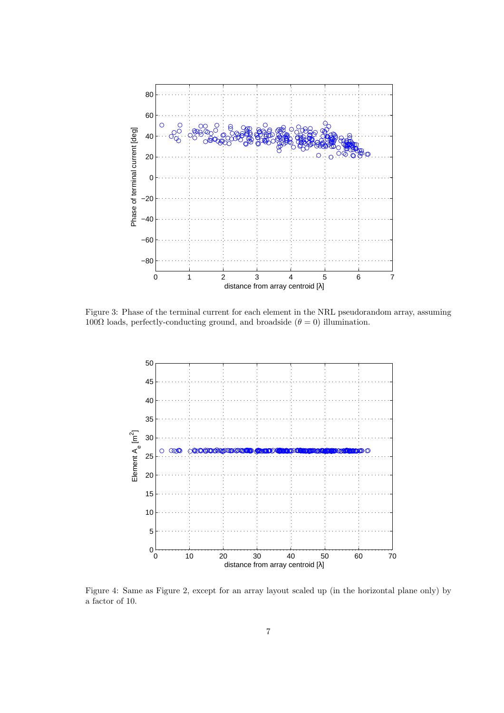

Figure 3: Phase of the terminal current for each element in the NRL pseudorandom array, assuming 100Ω loads, perfectly-conducting ground, and broadside ( $θ = 0$ ) illumination.



Figure 4: Same as Figure 2, except for an array layout scaled up (in the horizontal plane only) by a factor of 10.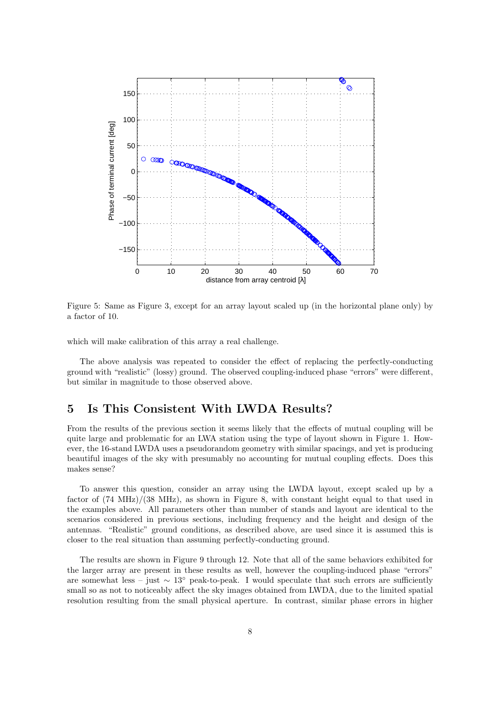

Figure 5: Same as Figure 3, except for an array layout scaled up (in the horizontal plane only) by a factor of 10.

which will make calibration of this array a real challenge.

The above analysis was repeated to consider the effect of replacing the perfectly-conducting ground with "realistic" (lossy) ground. The observed coupling-induced phase "errors" were different, but similar in magnitude to those observed above.

#### 5 Is This Consistent With LWDA Results?

From the results of the previous section it seems likely that the effects of mutual coupling will be quite large and problematic for an LWA station using the type of layout shown in Figure 1. However, the 16-stand LWDA uses a pseudorandom geometry with similar spacings, and yet is producing beautiful images of the sky with presumably no accounting for mutual coupling effects. Does this makes sense?

To answer this question, consider an array using the LWDA layout, except scaled up by a factor of (74 MHz)/(38 MHz), as shown in Figure 8, with constant height equal to that used in the examples above. All parameters other than number of stands and layout are identical to the scenarios considered in previous sections, including frequency and the height and design of the antennas. "Realistic" ground conditions, as described above, are used since it is assumed this is closer to the real situation than assuming perfectly-conducting ground.

The results are shown in Figure 9 through 12. Note that all of the same behaviors exhibited for the larger array are present in these results as well, however the coupling-induced phase "errors" are somewhat less – just ∼ 13◦ peak-to-peak. I would speculate that such errors are sufficiently small so as not to noticeably affect the sky images obtained from LWDA, due to the limited spatial resolution resulting from the small physical aperture. In contrast, similar phase errors in higher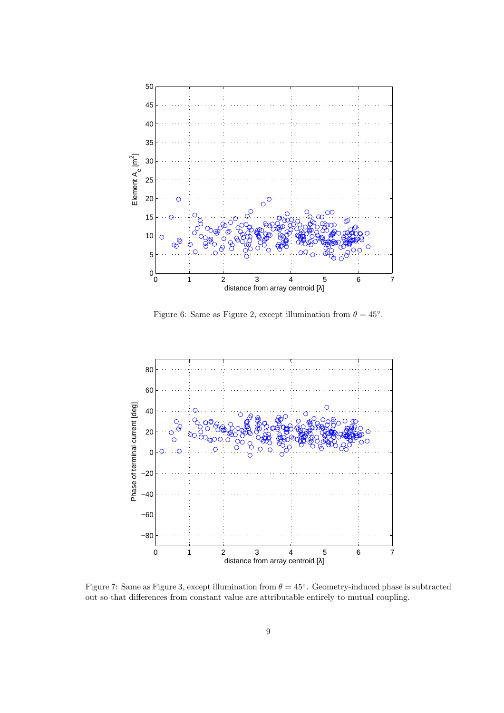

Figure 6: Same as Figure 2, except illumination from  $\theta = 45^{\circ}$ .



Figure 7: Same as Figure 3, except illumination from  $\theta = 45^{\circ}$ . Geometry-induced phase is subtracted out so that differences from constant value are attributable entirely to mutual coupling.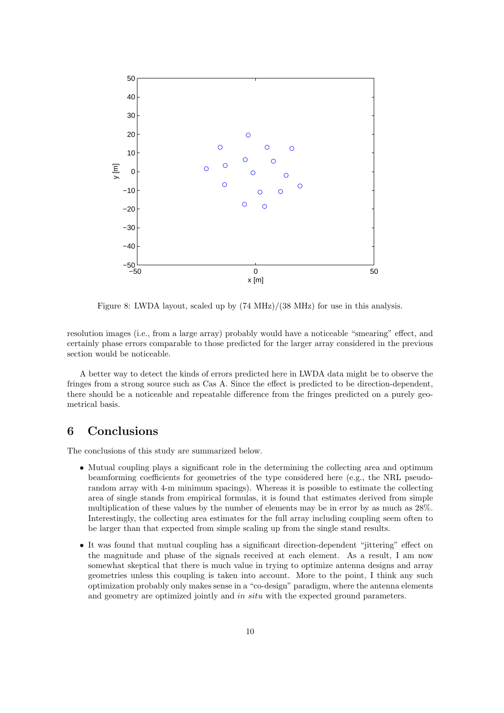

Figure 8: LWDA layout, scaled up by (74 MHz)/(38 MHz) for use in this analysis.

resolution images (i.e., from a large array) probably would have a noticeable "smearing" effect, and certainly phase errors comparable to those predicted for the larger array considered in the previous section would be noticeable.

A better way to detect the kinds of errors predicted here in LWDA data might be to observe the fringes from a strong source such as Cas A. Since the effect is predicted to be direction-dependent, there should be a noticeable and repeatable difference from the fringes predicted on a purely geometrical basis.

# 6 Conclusions

The conclusions of this study are summarized below.

- Mutual coupling plays a significant role in the determining the collecting area and optimum beamforming coefficients for geometries of the type considered here (e.g., the NRL pseudorandom array with 4-m minimum spacings). Whereas it is possible to estimate the collecting area of single stands from empirical formulas, it is found that estimates derived from simple multiplication of these values by the number of elements may be in error by as much as 28%. Interestingly, the collecting area estimates for the full array including coupling seem often to be larger than that expected from simple scaling up from the single stand results.
- It was found that mutual coupling has a significant direction-dependent "jittering" effect on the magnitude and phase of the signals received at each element. As a result, I am now somewhat skeptical that there is much value in trying to optimize antenna designs and array geometries unless this coupling is taken into account. More to the point, I think any such optimization probably only makes sense in a "co-design" paradigm, where the antenna elements and geometry are optimized jointly and in situ with the expected ground parameters.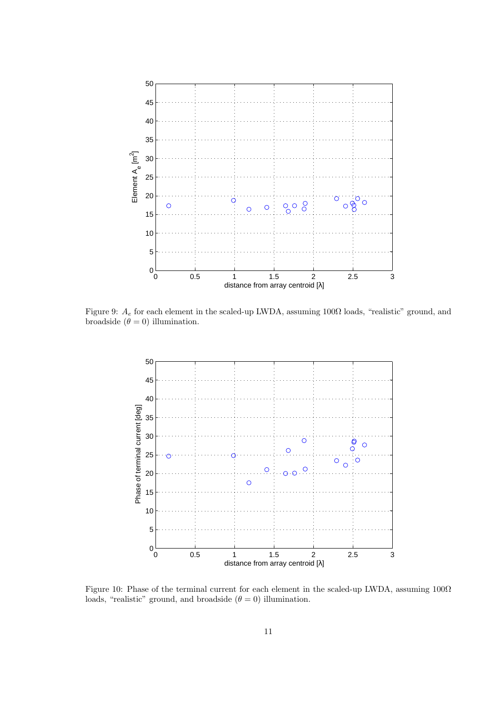

Figure 9:  $A_e$  for each element in the scaled-up LWDA, assuming 100 $\Omega$  loads, "realistic" ground, and broadside  $(\theta = 0)$  illumination.



Figure 10: Phase of the terminal current for each element in the scaled-up LWDA, assuming 100Ω loads, "realistic" ground, and broadside  $(\theta = 0)$  illumination.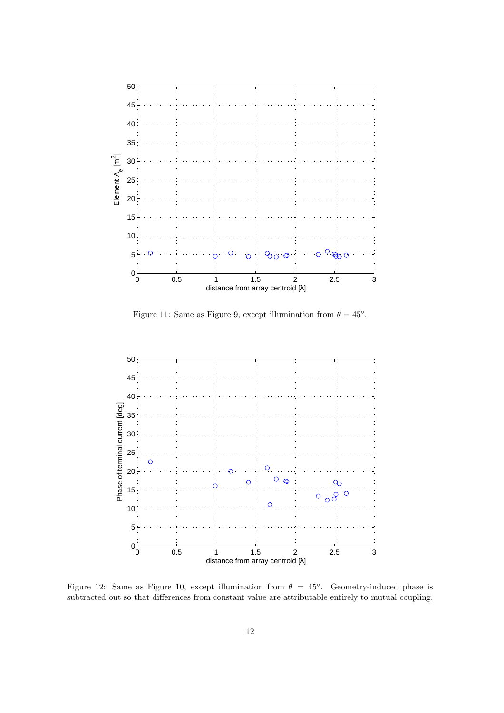

Figure 11: Same as Figure 9, except illumination from  $\theta = 45^{\circ}$ .



Figure 12: Same as Figure 10, except illumination from  $\theta = 45^{\circ}$ . Geometry-induced phase is subtracted out so that differences from constant value are attributable entirely to mutual coupling.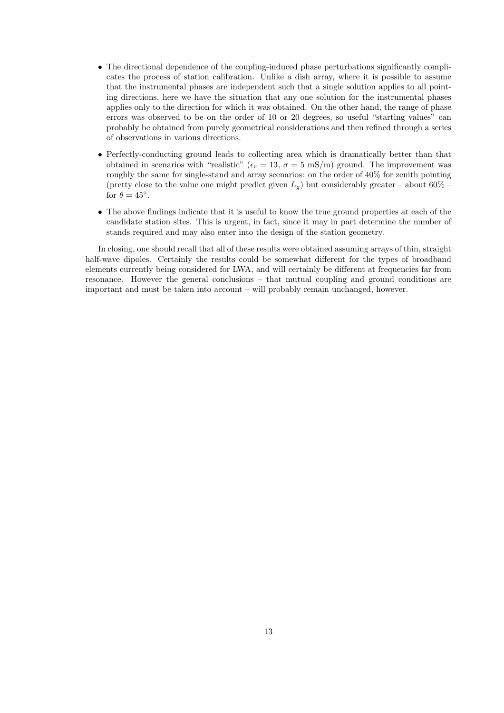- The directional dependence of the coupling-induced phase perturbations significantly complicates the process of station calibration. Unlike a dish array, where it is possible to assume that the instrumental phases are independent such that a single solution applies to all pointing directions, here we have the situation that any one solution for the instrumental phases applies only to the direction for which it was obtained. On the other hand, the range of phase errors was observed to be on the order of 10 or 20 degrees, so useful "starting values" can probably be obtained from purely geometrical considerations and then refined through a series of observations in various directions.
- Perfectly-conducting ground leads to collecting area which is dramatically better than that obtained in scenarios with "realistic" ( $\epsilon_r = 13$ ,  $\sigma = 5$  mS/m) ground. The improvement was roughly the same for single-stand and array scenarios: on the order of 40% for zenith pointing (pretty close to the value one might predict given  $L_q$ ) but considerably greater – about 60% – for  $\theta = 45^\circ$ .
- The above findings indicate that it is useful to know the true ground properties at each of the candidate station sites. This is urgent, in fact, since it may in part determine the number of stands required and may also enter into the design of the station geometry.

In closing, one should recall that all of these results were obtained assuming arrays of thin, straight half-wave dipoles. Certainly the results could be somewhat different for the types of broadband elements currently being considered for LWA, and will certainly be different at frequencies far from resonance. However the general conclusions – that mutual coupling and ground conditions are important and must be taken into account – will probably remain unchanged, however.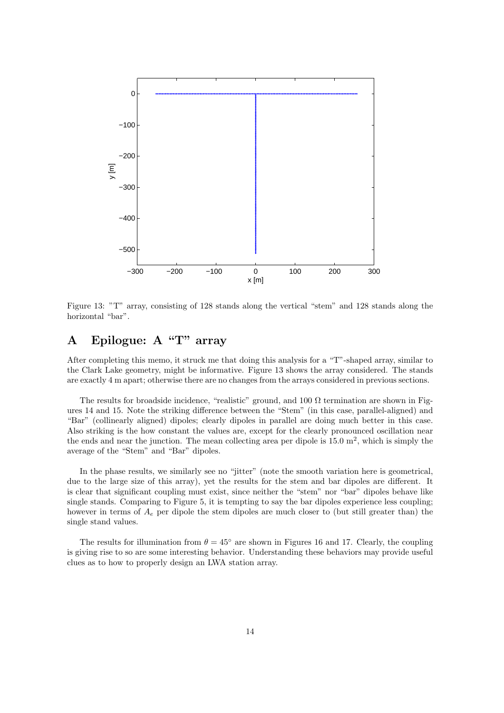

Figure 13: "T" array, consisting of 128 stands along the vertical "stem" and 128 stands along the horizontal "bar".

# A Epilogue: A "T" array

After completing this memo, it struck me that doing this analysis for a "T"-shaped array, similar to the Clark Lake geometry, might be informative. Figure 13 shows the array considered. The stands are exactly 4 m apart; otherwise there are no changes from the arrays considered in previous sections.

The results for broadside incidence, "realistic" ground, and 100  $\Omega$  termination are shown in Figures 14 and 15. Note the striking difference between the "Stem" (in this case, parallel-aligned) and "Bar" (collinearly aligned) dipoles; clearly dipoles in parallel are doing much better in this case. Also striking is the how constant the values are, except for the clearly pronounced oscillation near the ends and near the junction. The mean collecting area per dipole is  $15.0 \text{ m}^2$ , which is simply the average of the "Stem" and "Bar" dipoles.

In the phase results, we similarly see no "jitter" (note the smooth variation here is geometrical, due to the large size of this array), yet the results for the stem and bar dipoles are different. It is clear that significant coupling must exist, since neither the "stem" nor "bar" dipoles behave like single stands. Comparing to Figure 5, it is tempting to say the bar dipoles experience less coupling; however in terms of  $A_e$  per dipole the stem dipoles are much closer to (but still greater than) the single stand values.

The results for illumination from  $\theta = 45^\circ$  are shown in Figures 16 and 17. Clearly, the coupling is giving rise to so are some interesting behavior. Understanding these behaviors may provide useful clues as to how to properly design an LWA station array.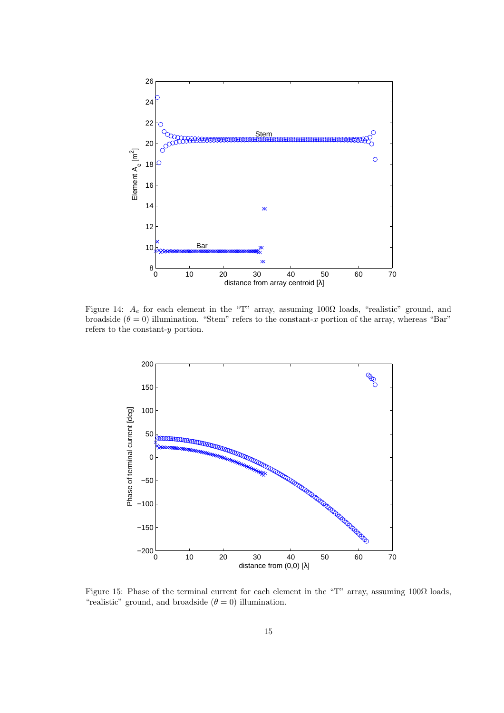

Figure 14:  $A_e$  for each element in the "T" array, assuming 100 $\Omega$  loads, "realistic" ground, and broadside  $(\theta = 0)$  illumination. "Stem" refers to the constant-x portion of the array, whereas "Bar" refers to the constant-y portion.



Figure 15: Phase of the terminal current for each element in the "T" array, assuming 100Ω loads, "realistic" ground, and broadside  $(\theta = 0)$  illumination.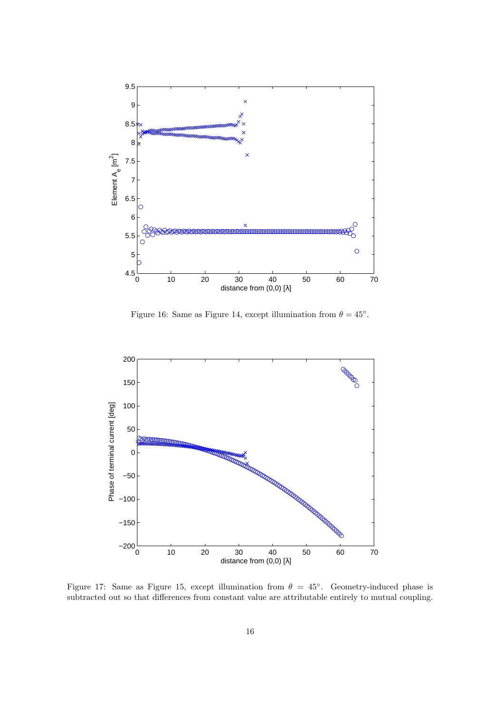

Figure 16: Same as Figure 14, except illumination from  $\theta = 45^{\circ}$ .



Figure 17: Same as Figure 15, except illumination from  $\theta = 45^{\circ}$ . Geometry-induced phase is subtracted out so that differences from constant value are attributable entirely to mutual coupling.